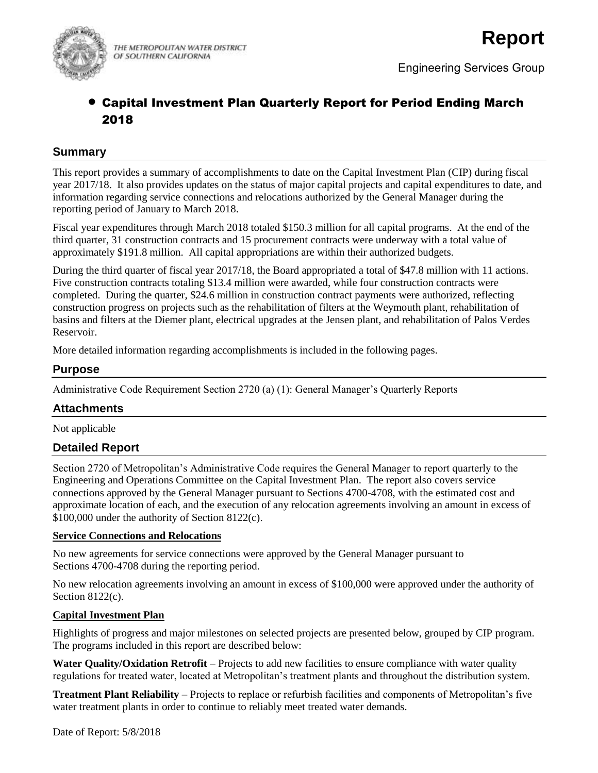

THE METROPOLITAN WATER DISTRICT OF SOUTHERN CALIFORNIA

# Capital Investment Plan Quarterly Report for Period Ending March 2018

#### **Summary**

This report provides a summary of accomplishments to date on the Capital Investment Plan (CIP) during fiscal year 2017/18. It also provides updates on the status of major capital projects and capital expenditures to date, and information regarding service connections and relocations authorized by the General Manager during the reporting period of January to March 2018.

Fiscal year expenditures through March 2018 totaled \$150.3 million for all capital programs. At the end of the third quarter, 31 construction contracts and 15 procurement contracts were underway with a total value of approximately \$191.8 million. All capital appropriations are within their authorized budgets.

During the third quarter of fiscal year 2017/18, the Board appropriated a total of \$47.8 million with 11 actions. Five construction contracts totaling \$13.4 million were awarded, while four construction contracts were completed. During the quarter, \$24.6 million in construction contract payments were authorized, reflecting construction progress on projects such as the rehabilitation of filters at the Weymouth plant, rehabilitation of basins and filters at the Diemer plant, electrical upgrades at the Jensen plant, and rehabilitation of Palos Verdes Reservoir.

More detailed information regarding accomplishments is included in the following pages.

#### **Purpose**

Administrative Code Requirement Section 2720 (a) (1): General Manager's Quarterly Reports

## **Attachments**

Not applicable

#### **Detailed Report**

Section 2720 of Metropolitan's Administrative Code requires the General Manager to report quarterly to the Engineering and Operations Committee on the Capital Investment Plan. The report also covers service connections approved by the General Manager pursuant to Sections 4700-4708, with the estimated cost and approximate location of each, and the execution of any relocation agreements involving an amount in excess of \$100,000 under the authority of Section 8122(c).

#### **Service Connections and Relocations**

No new agreements for service connections were approved by the General Manager pursuant to Sections 4700-4708 during the reporting period.

No new relocation agreements involving an amount in excess of \$100,000 were approved under the authority of Section 8122(c).

#### **Capital Investment Plan**

Highlights of progress and major milestones on selected projects are presented below, grouped by CIP program. The programs included in this report are described below:

**Water Quality/Oxidation Retrofit** – Projects to add new facilities to ensure compliance with water quality regulations for treated water, located at Metropolitan's treatment plants and throughout the distribution system.

**Treatment Plant Reliability** – Projects to replace or refurbish facilities and components of Metropolitan's five water treatment plants in order to continue to reliably meet treated water demands.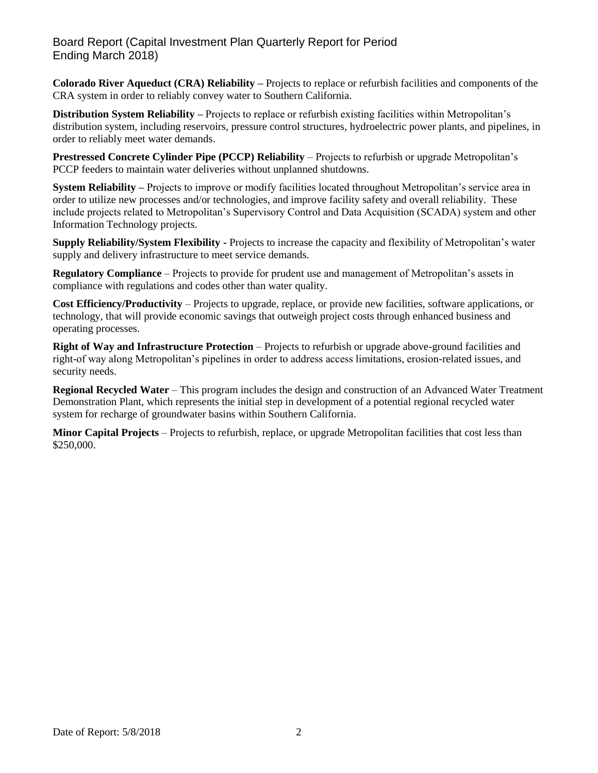## Board Report (Capital Investment Plan Quarterly Report for Period Ending March 2018)

**Colorado River Aqueduct (CRA) Reliability –** Projects to replace or refurbish facilities and components of the CRA system in order to reliably convey water to Southern California.

**Distribution System Reliability –** Projects to replace or refurbish existing facilities within Metropolitan's distribution system, including reservoirs, pressure control structures, hydroelectric power plants, and pipelines, in order to reliably meet water demands.

**Prestressed Concrete Cylinder Pipe (PCCP) Reliability** – Projects to refurbish or upgrade Metropolitan's PCCP feeders to maintain water deliveries without unplanned shutdowns.

**System Reliability –** Projects to improve or modify facilities located throughout Metropolitan's service area in order to utilize new processes and/or technologies, and improve facility safety and overall reliability. These include projects related to Metropolitan's Supervisory Control and Data Acquisition (SCADA) system and other Information Technology projects.

**Supply Reliability/System Flexibility -** Projects to increase the capacity and flexibility of Metropolitan's water supply and delivery infrastructure to meet service demands.

**Regulatory Compliance** – Projects to provide for prudent use and management of Metropolitan's assets in compliance with regulations and codes other than water quality.

**Cost Efficiency/Productivity** – Projects to upgrade, replace, or provide new facilities, software applications, or technology, that will provide economic savings that outweigh project costs through enhanced business and operating processes.

**Right of Way and Infrastructure Protection** – Projects to refurbish or upgrade above-ground facilities and right-of way along Metropolitan's pipelines in order to address access limitations, erosion-related issues, and security needs.

**Regional Recycled Water** – This program includes the design and construction of an Advanced Water Treatment Demonstration Plant, which represents the initial step in development of a potential regional recycled water system for recharge of groundwater basins within Southern California.

**Minor Capital Projects** – Projects to refurbish, replace, or upgrade Metropolitan facilities that cost less than \$250,000.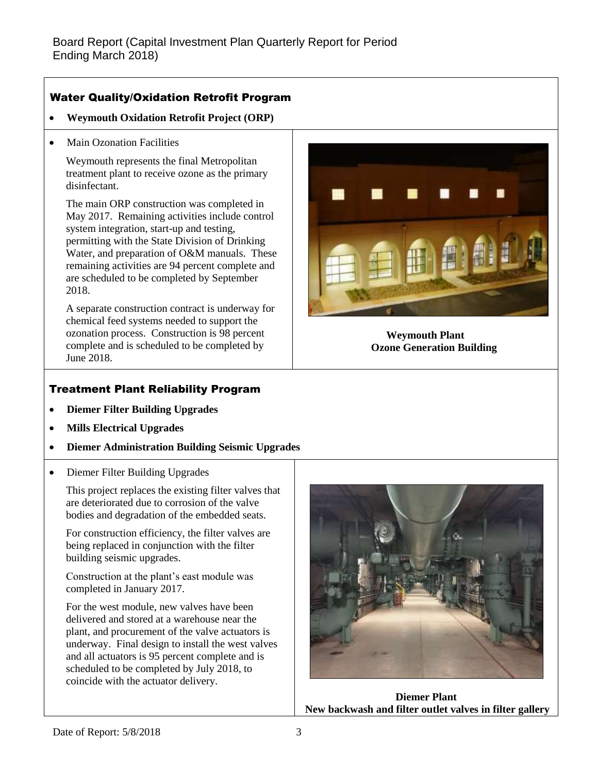## Water Quality/Oxidation Retrofit Program

- **Weymouth Oxidation Retrofit Project (ORP)**
- Main Ozonation Facilities

Weymouth represents the final Metropolitan treatment plant to receive ozone as the primary disinfectant.

The main ORP construction was completed in May 2017. Remaining activities include control system integration, start-up and testing, permitting with the State Division of Drinking Water, and preparation of O&M manuals. These remaining activities are 94 percent complete and are scheduled to be completed by September 2018.

A separate construction contract is underway for chemical feed systems needed to support the ozonation process. Construction is 98 percent complete and is scheduled to be completed by June 2018.

**Weymouth Plant Ozone Generation Building**

# Treatment Plant Reliability Program

- **Diemer Filter Building Upgrades**
- **Mills Electrical Upgrades**
- **Diemer Administration Building Seismic Upgrades**
- Diemer Filter Building Upgrades

This project replaces the existing filter valves that are deteriorated due to corrosion of the valve bodies and degradation of the embedded seats.

For construction efficiency, the filter valves are being replaced in conjunction with the filter building seismic upgrades.

Construction at the plant's east module was completed in January 2017.

For the west module, new valves have been delivered and stored at a warehouse near the plant, and procurement of the valve actuators is underway. Final design to install the west valves and all actuators is 95 percent complete and is scheduled to be completed by July 2018, to coincide with the actuator delivery.



**Diemer Plant New backwash and filter outlet valves in filter gallery**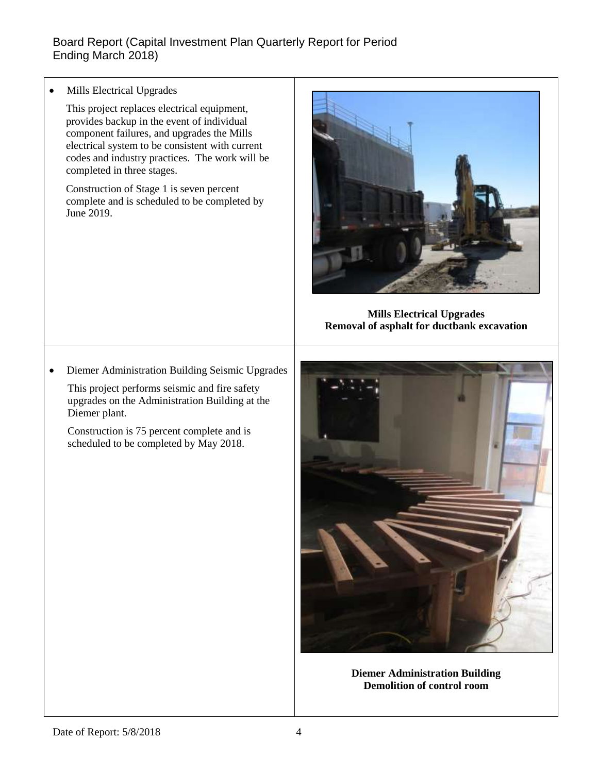Mills Electrical Upgrades

This project replaces electrical equipment, provides backup in the event of individual component failures, and upgrades the Mills electrical system to be consistent with current codes and industry practices. The work will be completed in three stages.

Construction of Stage 1 is seven percent complete and is scheduled to be completed by June 2019.



**Mills Electrical Upgrades Removal of asphalt for ductbank excavation**

Diemer Administration Building Seismic Upgrades

This project performs seismic and fire safety upgrades on the Administration Building at the Diemer plant.

Construction is 75 percent complete and is scheduled to be completed by May 2018.



**Diemer Administration Building Demolition of control room**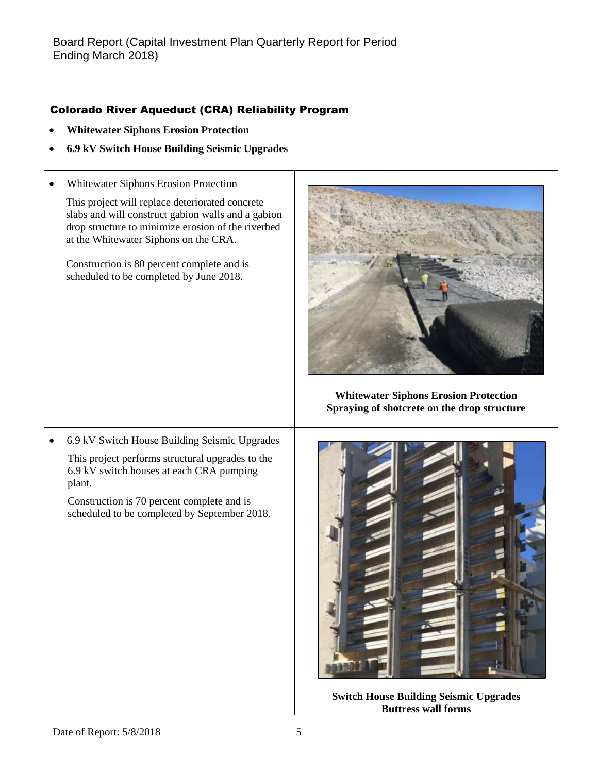## Colorado River Aqueduct (CRA) Reliability Program

- **Whitewater Siphons Erosion Protection**
- **6.9 kV Switch House Building Seismic Upgrades**
- Whitewater Siphons Erosion Protection

This project will replace deteriorated concrete slabs and will construct gabion walls and a gabion drop structure to minimize erosion of the riverbed at the Whitewater Siphons on the CRA.

Construction is 80 percent complete and is scheduled to be completed by June 2018.



**Whitewater Siphons Erosion Protection Spraying of shotcrete on the drop structure**

 6.9 kV Switch House Building Seismic Upgrades This project performs structural upgrades to the 6.9 kV switch houses at each CRA pumping plant.

Construction is 70 percent complete and is scheduled to be completed by September 2018.



**Switch House Building Seismic Upgrades Buttress wall forms**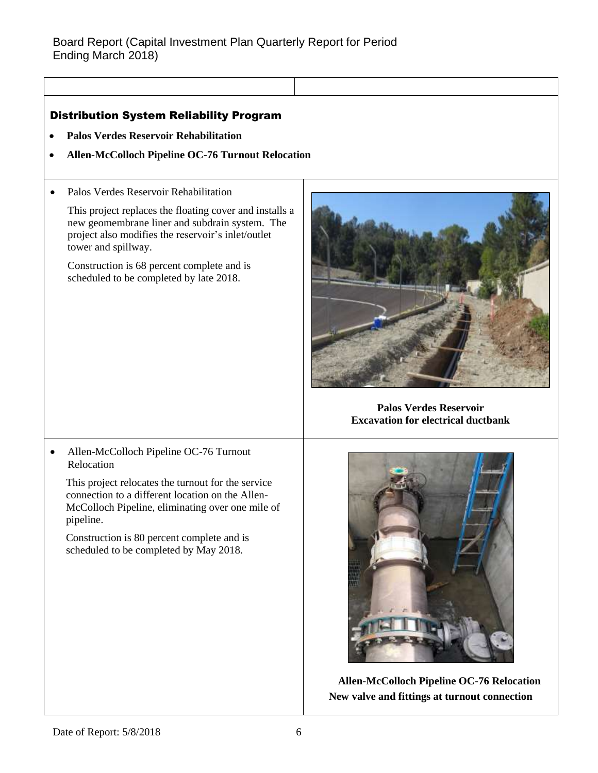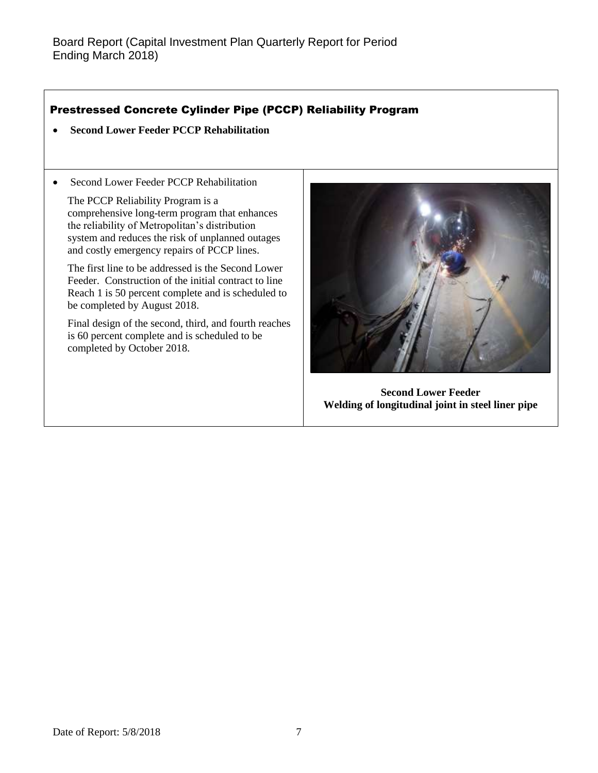## Prestressed Concrete Cylinder Pipe (PCCP) Reliability Program

- **Second Lower Feeder PCCP Rehabilitation**
- Second Lower Feeder PCCP Rehabilitation

The PCCP Reliability Program is a comprehensive long-term program that enhances the reliability of Metropolitan's distribution system and reduces the risk of unplanned outages and costly emergency repairs of PCCP lines.

The first line to be addressed is the Second Lower Feeder. Construction of the initial contract to line Reach 1 is 50 percent complete and is scheduled to be completed by August 2018.

Final design of the second, third, and fourth reaches is 60 percent complete and is scheduled to be completed by October 2018.



**Second Lower Feeder Welding of longitudinal joint in steel liner pipe**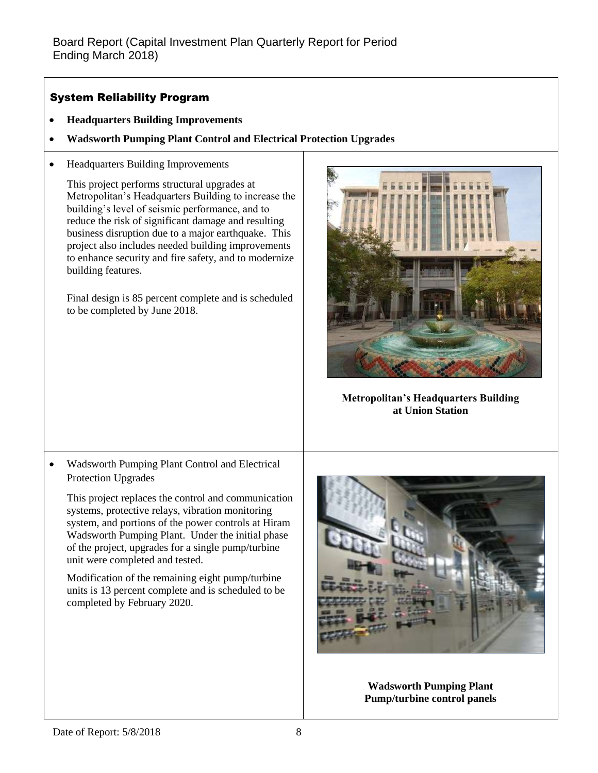## System Reliability Program

- **Headquarters Building Improvements**
- **Wadsworth Pumping Plant Control and Electrical Protection Upgrades**
- Headquarters Building Improvements

This project performs structural upgrades at Metropolitan's Headquarters Building to increase the building's level of seismic performance, and to reduce the risk of significant damage and resulting business disruption due to a major earthquake. This project also includes needed building improvements to enhance security and fire safety, and to modernize building features.

Final design is 85 percent complete and is scheduled to be completed by June 2018.



**Metropolitan's Headquarters Building at Union Station**

 Wadsworth Pumping Plant Control and Electrical Protection Upgrades

This project replaces the control and communication systems, protective relays, vibration monitoring system, and portions of the power controls at Hiram Wadsworth Pumping Plant. Under the initial phase of the project, upgrades for a single pump/turbine unit were completed and tested.

Modification of the remaining eight pump/turbine units is 13 percent complete and is scheduled to be completed by February 2020.



**Wadsworth Pumping Plant Pump/turbine control panels**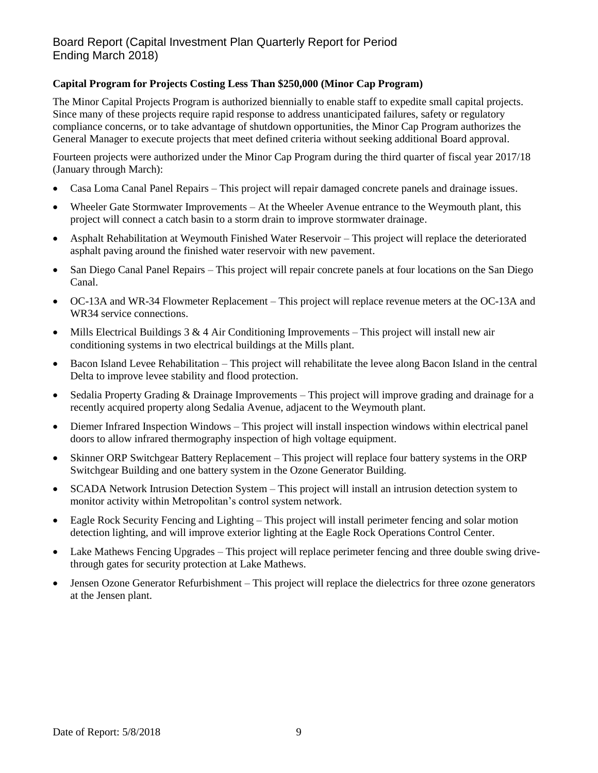#### **Capital Program for Projects Costing Less Than \$250,000 (Minor Cap Program)**

The Minor Capital Projects Program is authorized biennially to enable staff to expedite small capital projects. Since many of these projects require rapid response to address unanticipated failures, safety or regulatory compliance concerns, or to take advantage of shutdown opportunities, the Minor Cap Program authorizes the General Manager to execute projects that meet defined criteria without seeking additional Board approval.

Fourteen projects were authorized under the Minor Cap Program during the third quarter of fiscal year 2017/18 (January through March):

- Casa Loma Canal Panel Repairs This project will repair damaged concrete panels and drainage issues.
- Wheeler Gate Stormwater Improvements At the Wheeler Avenue entrance to the Weymouth plant, this project will connect a catch basin to a storm drain to improve stormwater drainage.
- Asphalt Rehabilitation at Weymouth Finished Water Reservoir This project will replace the deteriorated asphalt paving around the finished water reservoir with new pavement.
- San Diego Canal Panel Repairs This project will repair concrete panels at four locations on the San Diego Canal.
- OC-13A and WR-34 Flowmeter Replacement This project will replace revenue meters at the OC-13A and WR34 service connections.
- Mills Electrical Buildings 3 & 4 Air Conditioning Improvements This project will install new air conditioning systems in two electrical buildings at the Mills plant.
- Bacon Island Levee Rehabilitation This project will rehabilitate the levee along Bacon Island in the central Delta to improve levee stability and flood protection.
- Sedalia Property Grading & Drainage Improvements This project will improve grading and drainage for a recently acquired property along Sedalia Avenue, adjacent to the Weymouth plant.
- Diemer Infrared Inspection Windows This project will install inspection windows within electrical panel doors to allow infrared thermography inspection of high voltage equipment.
- Skinner ORP Switchgear Battery Replacement This project will replace four battery systems in the ORP Switchgear Building and one battery system in the Ozone Generator Building.
- SCADA Network Intrusion Detection System This project will install an intrusion detection system to monitor activity within Metropolitan's control system network.
- Eagle Rock Security Fencing and Lighting This project will install perimeter fencing and solar motion detection lighting, and will improve exterior lighting at the Eagle Rock Operations Control Center.
- Lake Mathews Fencing Upgrades This project will replace perimeter fencing and three double swing drivethrough gates for security protection at Lake Mathews.
- Jensen Ozone Generator Refurbishment This project will replace the dielectrics for three ozone generators at the Jensen plant.